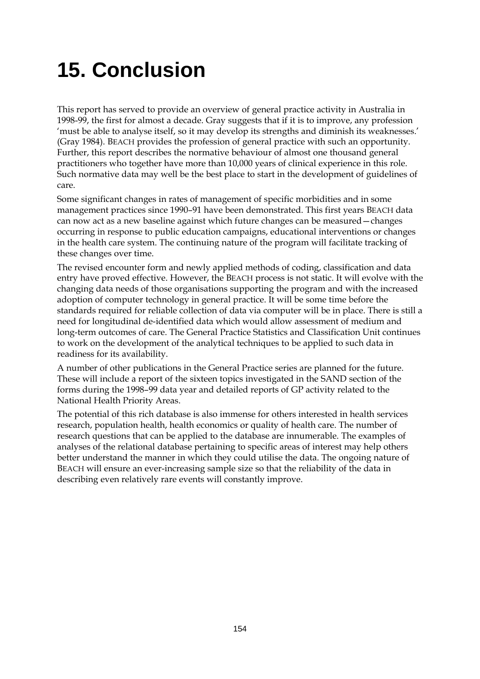# **15. Conclusion**

This report has served to provide an overview of general practice activity in Australia in 1998-99, the first for almost a decade. Gray suggests that if it is to improve, any profession 'must be able to analyse itself, so it may develop its strengths and diminish its weaknesses.' (Gray 1984). BEACH provides the profession of general practice with such an opportunity. Further, this report describes the normative behaviour of almost one thousand general practitioners who together have more than 10,000 years of clinical experience in this role. Such normative data may well be the best place to start in the development of guidelines of care.

Some significant changes in rates of management of specific morbidities and in some management practices since 1990–91 have been demonstrated. This first years BEACH data can now act as a new baseline against which future changes can be measured—changes occurring in response to public education campaigns, educational interventions or changes in the health care system. The continuing nature of the program will facilitate tracking of these changes over time.

The revised encounter form and newly applied methods of coding, classification and data entry have proved effective. However, the BEACH process is not static. It will evolve with the changing data needs of those organisations supporting the program and with the increased adoption of computer technology in general practice. It will be some time before the standards required for reliable collection of data via computer will be in place. There is still a need for longitudinal de-identified data which would allow assessment of medium and long-term outcomes of care. The General Practice Statistics and Classification Unit continues to work on the development of the analytical techniques to be applied to such data in readiness for its availability.

A number of other publications in the General Practice series are planned for the future. These will include a report of the sixteen topics investigated in the SAND section of the forms during the 1998–99 data year and detailed reports of GP activity related to the National Health Priority Areas.

The potential of this rich database is also immense for others interested in health services research, population health, health economics or quality of health care. The number of research questions that can be applied to the database are innumerable. The examples of analyses of the relational database pertaining to specific areas of interest may help others better understand the manner in which they could utilise the data. The ongoing nature of BEACH will ensure an ever-increasing sample size so that the reliability of the data in describing even relatively rare events will constantly improve.